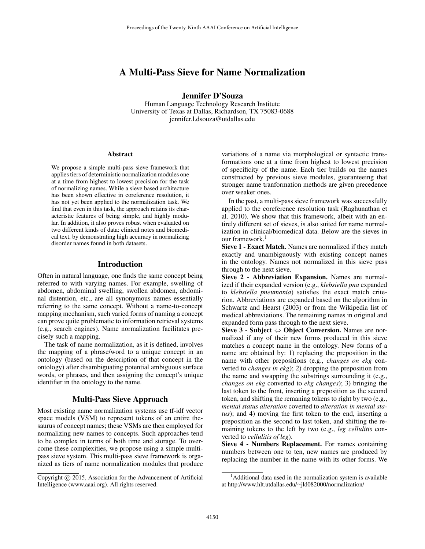# A Multi-Pass Sieve for Name Normalization

Jennifer D'Souza

Human Language Technology Research Institute University of Texas at Dallas, Richardson, TX 75083-0688 jennifer.l.dsouza@utdallas.edu

#### Abstract

We propose a simple multi-pass sieve framework that applies tiers of deterministic normalization modules one at a time from highest to lowest precision for the task of normalizing names. While a sieve based architecture has been shown effective in coreference resolution, it has not yet been applied to the normalization task. We find that even in this task, the approach retains its characteristic features of being simple, and highly modular. In addition, it also proves robust when evaluated on two different kinds of data: clinical notes and biomedical text, by demonstrating high accuracy in normalizing disorder names found in both datasets.

## Introduction

Often in natural language, one finds the same concept being referred to with varying names. For example, swelling of abdomen, abdominal swelling, swollen abdomen, abdominal distention, etc., are all synonymous names essentially referring to the same concept. Without a name-to-concept mapping mechanism, such varied forms of naming a concept can prove quite problematic to information retrieval systems (e.g., search engines). Name normalization facilitates precisely such a mapping.

The task of name normalization, as it is defined, involves the mapping of a phrase/word to a unique concept in an ontology (based on the description of that concept in the ontology) after disambiguating potential ambiguous surface words, or phrases, and then assigning the concept's unique identifier in the ontology to the name.

### Multi-Pass Sieve Approach

Most existing name normalization systems use tf-idf vector space models (VSM) to represent tokens of an entire thesaurus of concept names; these VSMs are then employed for normalizing new names to concepts. Such approaches tend to be complex in terms of both time and storage. To overcome these complexities, we propose using a simple multipass sieve system. This multi-pass sieve framework is organized as tiers of name normalization modules that produce

variations of a name via morphological or syntactic transformations one at a time from highest to lowest precision of specificity of the name. Each tier builds on the names constructed by previous sieve modules, guaranteeing that stronger name tranformation methods are given precedence over weaker ones.

In the past, a multi-pass sieve framework was successfully applied to the coreference resolution task (Raghunathan et al. 2010). We show that this framework, albeit with an entirely different set of sieves, is also suited for name normalization in clinical/biomedical data. Below are the sieves in our framework.<sup>1</sup>

Sieve 1 - Exact Match. Names are normalized if they match exactly and unambiguously with existing concept names in the ontology. Names not normalized in this sieve pass through to the next sieve.

Sieve 2 - Abbreviation Expansion. Names are normalized if their expanded version (e.g., *klebsiella pna* expanded to *klebsiella pneumonia*) satisfies the exact match criterion. Abbreviations are expanded based on the algorithm in Schwartz and Hearst (2003) or from the Wikipedia list of medical abbreviations. The remaining names in original and expanded form pass through to the next sieve.

Sieve 3 - Subject  $\Leftrightarrow$  Object Conversion. Names are normalized if any of their new forms produced in this sieve matches a concept name in the ontology. New forms of a name are obtained by: 1) replacing the preposition in the name with other prepositions (e.g., *changes on ekg* converted to *changes in ekg*); 2) dropping the preposition from the name and swapping the substrings surrounding it (e.g., *changes on ekg* converted to *ekg changes*); 3) bringing the last token to the front, inserting a preposition as the second token, and shifting the remaning tokens to right by two (e.g., *mental status alteration* coverted to *alteration in mental status*); and 4) moving the first token to the end, inserting a preposition as the second to last token, and shifting the remaining tokens to the left by two (e.g., *leg cellulitis* converted to *cellulitis of leg*).

Sieve 4 - Numbers Replacement. For names containing numbers between one to ten, new names are produced by replacing the number in the name with its other forms. We

Copyright © 2015, Association for the Advancement of Artificial Intelligence (www.aaai.org). All rights reserved.

 $<sup>1</sup>$ Additional data used in the normalization system is available</sup> at http://www.hlt.utdallas.edu/∼jld082000/normalization/